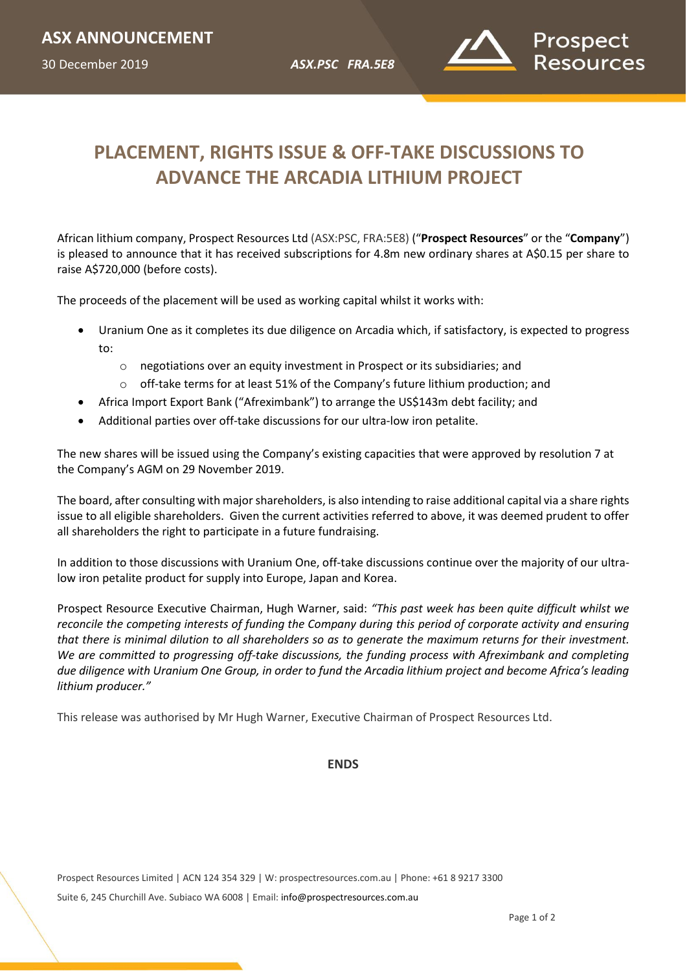30 December 2019 *ASX.PSC FRA.5E8*



# *XX November 2018* **PLACEMENT, RIGHTS ISSUE & OFF-TAKE DISCUSSIONS TO ADVANCE THE ARCADIA LITHIUM PROJECT**

African lithium company, Prospect Resources Ltd (ASX:PSC, FRA:5E8) ("**Prospect Resources**" or the "**Company**") is pleased to announce that it has received subscriptions for 4.8m new ordinary shares at A\$0.15 per share to raise A\$720,000 (before costs).

The proceeds of the placement will be used as working capital whilst it works with:

- Uranium One as it completes its due diligence on Arcadia which, if satisfactory, is expected to progress to:
	- o negotiations over an equity investment in Prospect or its subsidiaries; and
	- o off-take terms for at least 51% of the Company's future lithium production; and
- Africa Import Export Bank ("Afreximbank") to arrange the US\$143m debt facility; and
- Additional parties over off-take discussions for our ultra-low iron petalite.

The new shares will be issued using the Company's existing capacities that were approved by resolution 7 at the Company's AGM on 29 November 2019.

The board, after consulting with major shareholders, is also intending to raise additional capital via a share rights issue to all eligible shareholders. Given the current activities referred to above, it was deemed prudent to offer all shareholders the right to participate in a future fundraising.

In addition to those discussions with Uranium One, off-take discussions continue over the majority of our ultralow iron petalite product for supply into Europe, Japan and Korea.

Prospect Resource Executive Chairman, Hugh Warner, said: *"This past week has been quite difficult whilst we reconcile the competing interests of funding the Company during this period of corporate activity and ensuring that there is minimal dilution to all shareholders so as to generate the maximum returns for their investment. We are committed to progressing off-take discussions, the funding process with Afreximbank and completing due diligence with Uranium One Group, in order to fund the Arcadia lithium project and become Africa's leading lithium producer."* 

This release was authorised by Mr Hugh Warner, Executive Chairman of Prospect Resources Ltd.

#### **ENDS**

Prospect Resources Limited | ACN 124 354 329 | W: prospectresources.com.au | Phone: +61 8 9217 3300 Suite 6, 245 Churchill Ave. Subiaco WA 6008 | Email: [info@prospectresources.com.au](mailto:info@prospectresources.com.au)